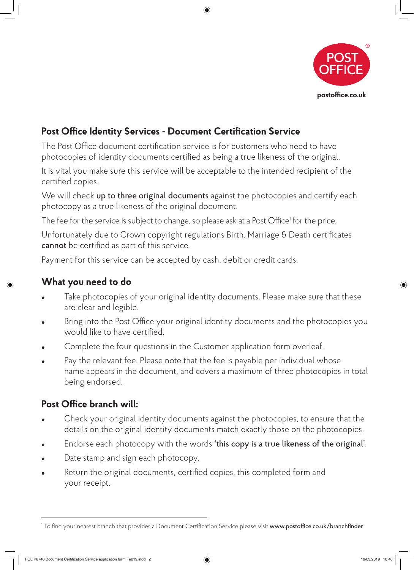

## **Post Office Identity Services - Document Certification Service**

The Post Office document certification service is for customers who need to have photocopies of identity documents certified as being a true likeness of the original.

It is vital you make sure this service will be acceptable to the intended recipient of the certified copies.

 $\bigoplus$ 

We will check up to three original documents against the photocopies and certify each photocopy as a true likeness of the original document.

The fee for the service is subject to change, so please ask at a Post Office<sup>1</sup> for the price.

Unfortunately due to Crown copyright regulations Birth, Marriage & Death certificates cannot be certified as part of this service.

Payment for this service can be accepted by cash, debit or credit cards.

◈

## **What you need to do**

- Take photocopies of your original identity documents. Please make sure that these are clear and legible.
- Bring into the Post Office your original identity documents and the photocopies you would like to have certified.
- Complete the four questions in the Customer application form overleaf.
- <sup>l</sup> Pay the relevant fee. Please note that the fee is payable per individual whose name appears in the document, and covers a maximum of three photocopies in total being endorsed.

## **Post Office branch will:**

- Check your original identity documents against the photocopies, to ensure that the details on the original identity documents match exactly those on the photocopies.
- Endorse each photocopy with the words 'this copy is a true likeness of the original'.
- Date stamp and sign each photocopy.
- Return the original documents, certified copies, this completed form and your receipt.

POL P6740 Document Certification Service application form Feb19.indd 2 19/03/2019 10:40

◈

<sup>&</sup>lt;sup>1</sup> To find your nearest branch that provides a Document Certification Service please visit **www.postoffice.co.uk/branchfinder**